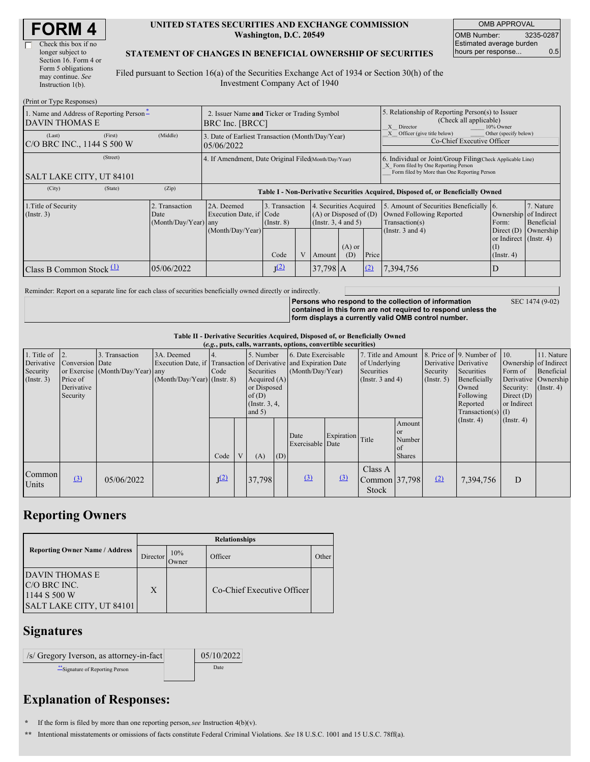| <b>FORM4</b> |  |
|--------------|--|
|--------------|--|

(Print or Type Responses)

#### **UNITED STATES SECURITIES AND EXCHANGE COMMISSION Washington, D.C. 20549**

OMB APPROVAL OMB Number: 3235-0287 Estimated average burden hours per response... 0.5

#### **STATEMENT OF CHANGES IN BENEFICIAL OWNERSHIP OF SECURITIES**

Filed pursuant to Section 16(a) of the Securities Exchange Act of 1934 or Section 30(h) of the Investment Company Act of 1940

| $(1 \text{ min of 1 ypc Rcspons})$<br>1. Name and Address of Reporting Person-<br>2. Issuer Name and Ticker or Trading Symbol<br>DAVIN THOMAS E<br><b>BRC</b> Inc. [BRCC] |                                                |                                                                                  |                                   |  |                                                                                  |                 |                                                                                     | 5. Relationship of Reporting Person(s) to Issuer<br>(Check all applicable)<br>X Director<br>10% Owner                                              |                                                                   |                         |  |  |
|---------------------------------------------------------------------------------------------------------------------------------------------------------------------------|------------------------------------------------|----------------------------------------------------------------------------------|-----------------------------------|--|----------------------------------------------------------------------------------|-----------------|-------------------------------------------------------------------------------------|----------------------------------------------------------------------------------------------------------------------------------------------------|-------------------------------------------------------------------|-------------------------|--|--|
| (First)<br>(Last)<br>C/O BRC INC., 1144 S 500 W                                                                                                                           | (Middle)                                       | 3. Date of Earliest Transaction (Month/Day/Year)<br>05/06/2022                   |                                   |  |                                                                                  |                 | X Officer (give title below)<br>Other (specify below)<br>Co-Chief Executive Officer |                                                                                                                                                    |                                                                   |                         |  |  |
| (Street)<br>SALT LAKE CITY, UT 84101                                                                                                                                      |                                                | 4. If Amendment, Date Original Filed(Month/Day/Year)                             |                                   |  |                                                                                  |                 |                                                                                     | 6. Individual or Joint/Group Filing Check Applicable Line)<br>X Form filed by One Reporting Person<br>Form filed by More than One Reporting Person |                                                                   |                         |  |  |
| (City)<br>(State)                                                                                                                                                         | (Zip)                                          | Table I - Non-Derivative Securities Acquired, Disposed of, or Beneficially Owned |                                   |  |                                                                                  |                 |                                                                                     |                                                                                                                                                    |                                                                   |                         |  |  |
| 1. Title of Security<br>$($ Instr. 3 $)$                                                                                                                                  | 2. Transaction<br>Date<br>(Month/Day/Year) any | 2A. Deemed<br>Execution Date, if Code                                            | 3. Transaction<br>$($ Instr. $8)$ |  | 4. Securities Acquired<br>$(A)$ or Disposed of $(D)$<br>(Instr. $3, 4$ and $5$ ) |                 |                                                                                     | 5. Amount of Securities Beneficially 6.<br>Owned Following Reported<br>Transaction(s)                                                              | Ownership of Indirect<br>Form:                                    | 7. Nature<br>Beneficial |  |  |
|                                                                                                                                                                           |                                                | (Month/Day/Year)                                                                 | Code                              |  | Amount                                                                           | $(A)$ or<br>(D) | Price                                                                               | (Instr. $3$ and $4$ )                                                                                                                              | Direct $(D)$<br>or Indirect (Instr. 4)<br>(1)<br>$($ Instr. 4 $)$ | Ownership               |  |  |
| Class B Common Stock $\Pi$                                                                                                                                                | 05/06/2022                                     |                                                                                  | J <sup>(2)</sup>                  |  | $37,798$ A                                                                       |                 | (2)                                                                                 | 7,394,756                                                                                                                                          |                                                                   |                         |  |  |

Reminder: Report on a separate line for each class of securities beneficially owned directly or indirectly.

**Persons who respond to the collection of information contained in this form are not required to respond unless the form displays a currently valid OMB control number.**

SEC 1474 (9-02)

**Table II - Derivative Securities Acquired, Disposed of, or Beneficially Owned**

| (e.g., puts, calls, warrants, options, convertible securities) |                 |                                  |                                                                  |                  |  |                  |     |                     |                  |                       |               |                       |                              |                       |                      |
|----------------------------------------------------------------|-----------------|----------------------------------|------------------------------------------------------------------|------------------|--|------------------|-----|---------------------|------------------|-----------------------|---------------|-----------------------|------------------------------|-----------------------|----------------------|
| 1. Title of                                                    |                 | 3. Transaction                   | 3A. Deemed                                                       |                  |  | 5. Number        |     | 6. Date Exercisable |                  | 7. Title and Amount   |               |                       | 8. Price of 9. Number of 10. |                       | 11. Nature           |
| Derivative                                                     | Conversion Date |                                  | Execution Date, if Transaction of Derivative and Expiration Date |                  |  |                  |     |                     |                  | of Underlying         |               | Derivative Derivative |                              | Ownership of Indirect |                      |
| Security                                                       |                 | or Exercise (Month/Day/Year) any |                                                                  | Code             |  | Securities       |     | (Month/Day/Year)    |                  | Securities            |               | Security              | Securities                   | Form of               | Beneficial           |
| (Insert. 3)                                                    | Price of        |                                  | $(Month/Day/Year)$ (Instr. 8)                                    |                  |  | Acquired $(A)$   |     |                     |                  | (Instr. $3$ and $4$ ) |               | $($ Instr. 5 $)$      | Beneficially                 |                       | Derivative Ownership |
|                                                                | Derivative      |                                  |                                                                  |                  |  | or Disposed      |     |                     |                  |                       |               |                       | Owned                        | Security:             | $($ Instr. 4 $)$     |
|                                                                | Security        |                                  |                                                                  |                  |  | of(D)            |     |                     |                  |                       |               | Following             | Direct $(D)$                 |                       |                      |
|                                                                |                 |                                  |                                                                  |                  |  | (Instr. $3, 4$ , |     |                     |                  |                       |               | Reported              | or Indirect                  |                       |                      |
|                                                                |                 |                                  |                                                                  |                  |  | and $5)$         |     |                     |                  |                       |               |                       | $Transaction(s)$ (I)         |                       |                      |
|                                                                |                 |                                  |                                                                  |                  |  |                  |     |                     |                  |                       | Amount        |                       | $($ Instr. 4 $)$             | $($ Instr. 4 $)$      |                      |
|                                                                |                 |                                  |                                                                  |                  |  |                  |     | Date                | Expiration Title |                       | <sub>or</sub> |                       |                              |                       |                      |
|                                                                |                 |                                  |                                                                  |                  |  |                  |     | Exercisable Date    |                  |                       | Number        |                       |                              |                       |                      |
|                                                                |                 |                                  |                                                                  |                  |  |                  |     |                     |                  |                       | of            |                       |                              |                       |                      |
|                                                                |                 |                                  |                                                                  | Code             |  | (A)              | (D) |                     |                  |                       | <b>Shares</b> |                       |                              |                       |                      |
|                                                                |                 |                                  |                                                                  |                  |  |                  |     |                     |                  | Class A               |               |                       |                              |                       |                      |
| Common                                                         | (3)             | 05/06/2022                       |                                                                  | I <sup>(2)</sup> |  | 37,798           |     | $\Omega$            | (3)              | Common 37,798         |               | (2)                   | 7,394,756                    | D                     |                      |
| Units                                                          |                 |                                  |                                                                  |                  |  |                  |     |                     |                  | Stock                 |               |                       |                              |                       |                      |
|                                                                |                 |                                  |                                                                  |                  |  |                  |     |                     |                  |                       |               |                       |                              |                       |                      |

## **Reporting Owners**

|                                                                                   | <b>Relationships</b> |              |                            |       |  |  |  |  |  |  |
|-----------------------------------------------------------------------------------|----------------------|--------------|----------------------------|-------|--|--|--|--|--|--|
| <b>Reporting Owner Name / Address</b>                                             | <b>Director</b>      | 10%<br>Owner | Officer                    | Other |  |  |  |  |  |  |
| <b>DAVIN THOMAS E</b><br>C/O BRC INC.<br>1144 S 500 W<br>SALT LAKE CITY, UT 84101 | X                    |              | Co-Chief Executive Officer |       |  |  |  |  |  |  |

### **Signatures**

| <i>S/</i> Gregory Iverson, as attorney-in-fact | 05/10/2022 |
|------------------------------------------------|------------|
| Signature of Reporting Person                  | Date       |

# **Explanation of Responses:**

- **\*** If the form is filed by more than one reporting person,*see* Instruction 4(b)(v).
- **\*\*** Intentional misstatements or omissions of facts constitute Federal Criminal Violations. *See* 18 U.S.C. 1001 and 15 U.S.C. 78ff(a).